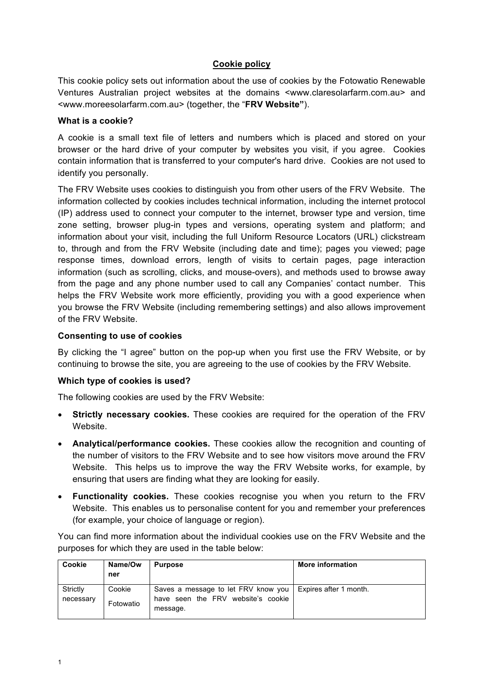# **Cookie policy**

This cookie policy sets out information about the use of cookies by the Fotowatio Renewable Ventures Australian project websites at the domains <www.claresolarfarm.com.au> and <www.moreesolarfarm.com.au> (together, the "**FRV Website"**).

## **What is a cookie?**

A cookie is a small text file of letters and numbers which is placed and stored on your browser or the hard drive of your computer by websites you visit, if you agree. Cookies contain information that is transferred to your computer's hard drive. Cookies are not used to identify you personally.

The FRV Website uses cookies to distinguish you from other users of the FRV Website. The information collected by cookies includes technical information, including the internet protocol (IP) address used to connect your computer to the internet, browser type and version, time zone setting, browser plug-in types and versions, operating system and platform; and information about your visit, including the full Uniform Resource Locators (URL) clickstream to, through and from the FRV Website (including date and time); pages you viewed; page response times, download errors, length of visits to certain pages, page interaction information (such as scrolling, clicks, and mouse-overs), and methods used to browse away from the page and any phone number used to call any Companies' contact number. This helps the FRV Website work more efficiently, providing you with a good experience when you browse the FRV Website (including remembering settings) and also allows improvement of the FRV Website.

## **Consenting to use of cookies**

By clicking the "I agree" button on the pop-up when you first use the FRV Website, or by continuing to browse the site, you are agreeing to the use of cookies by the FRV Website.

## **Which type of cookies is used?**

The following cookies are used by the FRV Website:

- **Strictly necessary cookies.** These cookies are required for the operation of the FRV Website.
- **Analytical/performance cookies.** These cookies allow the recognition and counting of the number of visitors to the FRV Website and to see how visitors move around the FRV Website. This helps us to improve the way the FRV Website works, for example, by ensuring that users are finding what they are looking for easily.
- **Functionality cookies.** These cookies recognise you when you return to the FRV Website. This enables us to personalise content for you and remember your preferences (for example, your choice of language or region).

You can find more information about the individual cookies use on the FRV Website and the purposes for which they are used in the table below:

| Cookie                | Name/Ow<br>ner      | <b>Purpose</b>                                                                        | More information       |
|-----------------------|---------------------|---------------------------------------------------------------------------------------|------------------------|
| Strictly<br>necessary | Cookie<br>Fotowatio | Saves a message to let FRV know you<br>have seen the FRV website's cookie<br>message. | Expires after 1 month. |